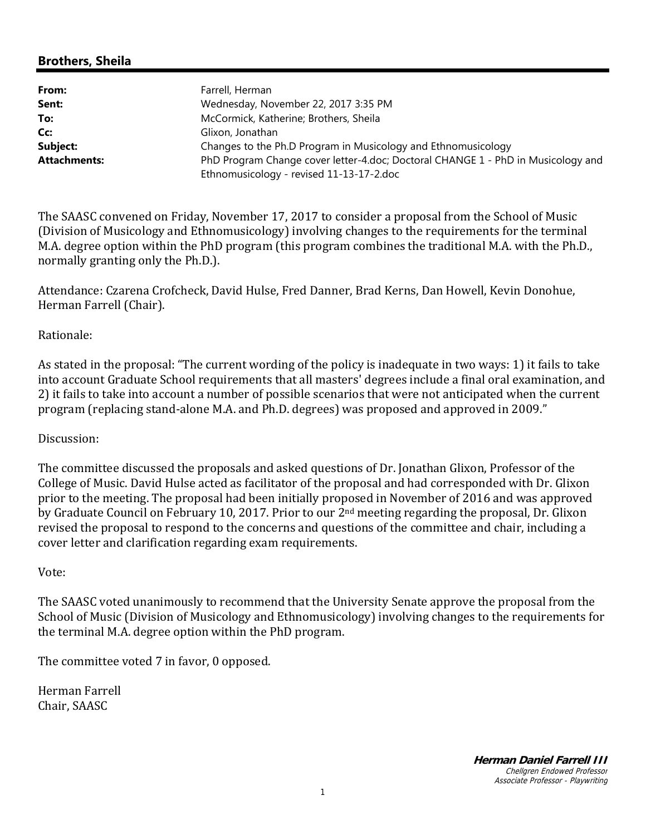## **Brothers, Sheila**

| From:               | Farrell, Herman                                                                  |
|---------------------|----------------------------------------------------------------------------------|
| Sent:               | Wednesday, November 22, 2017 3:35 PM                                             |
| To:                 | McCormick, Katherine; Brothers, Sheila                                           |
| Cc:                 | Glixon, Jonathan                                                                 |
| Subject:            | Changes to the Ph.D Program in Musicology and Ethnomusicology                    |
| <b>Attachments:</b> | PhD Program Change cover letter-4.doc; Doctoral CHANGE 1 - PhD in Musicology and |
|                     | Ethnomusicology - revised 11-13-17-2.doc                                         |

The SAASC convened on Friday, November 17, 2017 to consider a proposal from the School of Music (Division of Musicology and Ethnomusicology) involving changes to the requirements for the terminal M.A. degree option within the PhD program (this program combines the traditional M.A. with the Ph.D., normally granting only the Ph.D.).

Attendance: Czarena Crofcheck, David Hulse, Fred Danner, Brad Kerns, Dan Howell, Kevin Donohue, Herman Farrell (Chair).

### Rationale:

As stated in the proposal: "The current wording of the policy is inadequate in two ways: 1) it fails to take into account Graduate School requirements that all masters' degrees include a final oral examination, and 2) it fails to take into account a number of possible scenarios that were not anticipated when the current program (replacing stand-alone M.A. and Ph.D. degrees) was proposed and approved in 2009."

#### Discussion:

The committee discussed the proposals and asked questions of Dr. Jonathan Glixon, Professor of the College of Music. David Hulse acted as facilitator of the proposal and had corresponded with Dr. Glixon prior to the meeting. The proposal had been initially proposed in November of 2016 and was approved by Graduate Council on February 10, 2017. Prior to our 2<sup>nd</sup> meeting regarding the proposal, Dr. Glixon revised the proposal to respond to the concerns and questions of the committee and chair, including a cover letter and clarification regarding exam requirements.

#### Vote:

The SAASC voted unanimously to recommend that the University Senate approve the proposal from the School of Music (Division of Musicology and Ethnomusicology) involving changes to the requirements for the terminal M.A. degree option within the PhD program.

The committee voted 7 in favor, 0 opposed.

Herman Farrell Chair, SAASC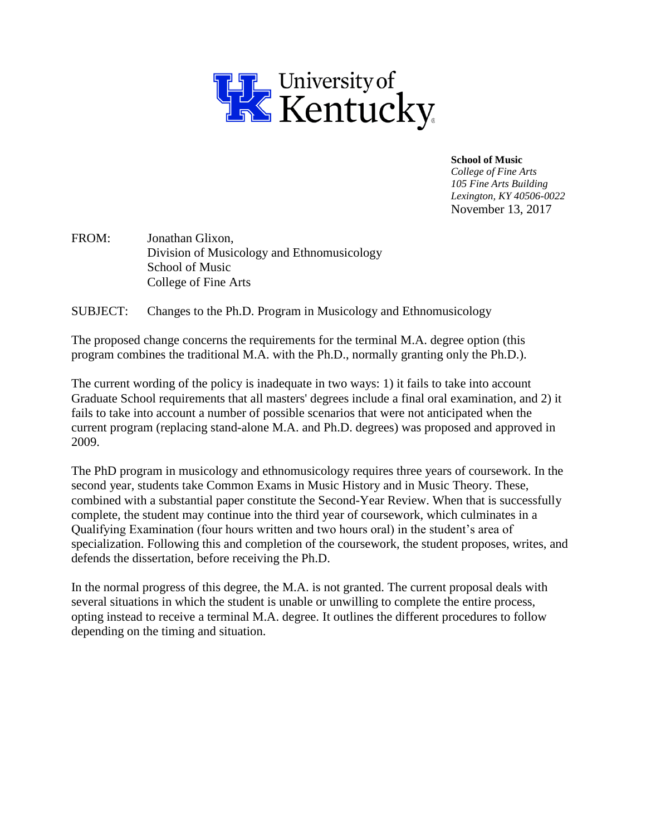

**School of Music**

*College of Fine Arts 105 Fine Arts Building Lexington, KY 40506-0022* November 13, 2017

FROM: Jonathan Glixon, Division of Musicology and Ethnomusicology School of Music College of Fine Arts

SUBJECT: Changes to the Ph.D. Program in Musicology and Ethnomusicology

The proposed change concerns the requirements for the terminal M.A. degree option (this program combines the traditional M.A. with the Ph.D., normally granting only the Ph.D.).

The current wording of the policy is inadequate in two ways: 1) it fails to take into account Graduate School requirements that all masters' degrees include a final oral examination, and 2) it fails to take into account a number of possible scenarios that were not anticipated when the current program (replacing stand-alone M.A. and Ph.D. degrees) was proposed and approved in 2009.

The PhD program in musicology and ethnomusicology requires three years of coursework. In the second year, students take Common Exams in Music History and in Music Theory. These, combined with a substantial paper constitute the Second-Year Review. When that is successfully complete, the student may continue into the third year of coursework, which culminates in a Qualifying Examination (four hours written and two hours oral) in the student's area of specialization. Following this and completion of the coursework, the student proposes, writes, and defends the dissertation, before receiving the Ph.D.

In the normal progress of this degree, the M.A. is not granted. The current proposal deals with several situations in which the student is unable or unwilling to complete the entire process, opting instead to receive a terminal M.A. degree. It outlines the different procedures to follow depending on the timing and situation.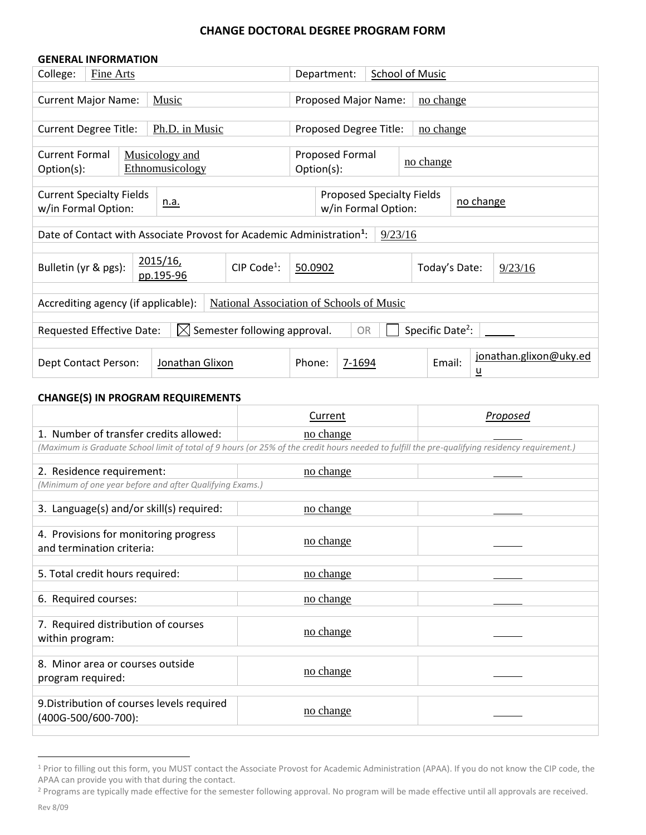#### **CHANGE DOCTORAL DEGREE PROGRAM FORM**

| <b>GENERAL INFORMATION</b>                                                                                    |           |                 |               |                                        |                                     |                     |                        |                 |                        |
|---------------------------------------------------------------------------------------------------------------|-----------|-----------------|---------------|----------------------------------------|-------------------------------------|---------------------|------------------------|-----------------|------------------------|
| College:                                                                                                      | Fine Arts |                 |               | Department:                            |                                     |                     | <b>School of Music</b> |                 |                        |
|                                                                                                               |           |                 |               |                                        |                                     |                     |                        |                 |                        |
| <b>Current Major Name:</b>                                                                                    |           | Music           |               | Proposed Major Name:<br>no change      |                                     |                     |                        |                 |                        |
|                                                                                                               |           |                 |               |                                        |                                     |                     |                        |                 |                        |
| <b>Current Degree Title:</b>                                                                                  |           | Ph.D. in Music  |               |                                        | Proposed Degree Title:<br>no change |                     |                        |                 |                        |
|                                                                                                               |           |                 |               |                                        |                                     |                     |                        |                 |                        |
| <b>Current Formal</b>                                                                                         |           | Musicology and  |               | <b>Proposed Formal</b>                 |                                     |                     | no change              |                 |                        |
| Option(s):                                                                                                    |           | Ethnomusicology |               |                                        | Option(s):                          |                     |                        |                 |                        |
|                                                                                                               |           |                 |               |                                        |                                     |                     |                        |                 |                        |
| <b>Current Specialty Fields</b>                                                                               |           | <u>n.a.</u>     |               | Proposed Specialty Fields<br>no change |                                     |                     |                        |                 |                        |
| w/in Formal Option:                                                                                           |           |                 |               |                                        |                                     | w/in Formal Option: |                        |                 |                        |
| Date of Contact with Associate Provost for Academic Administration <sup>1</sup> :                             |           |                 |               |                                        |                                     |                     |                        |                 |                        |
|                                                                                                               |           |                 |               |                                        |                                     | 9/23/16             |                        |                 |                        |
| <u>2015/16,</u>                                                                                               |           |                 |               |                                        |                                     |                     |                        |                 |                        |
| Bulletin (yr & pgs):                                                                                          |           | pp.195-96       | $CIP Code1$ : | 50.0902                                |                                     |                     | Today's Date:          |                 | 9/23/16                |
|                                                                                                               |           |                 |               |                                        |                                     |                     |                        |                 |                        |
| National Association of Schools of Music<br>Accrediting agency (if applicable):                               |           |                 |               |                                        |                                     |                     |                        |                 |                        |
|                                                                                                               |           |                 |               |                                        |                                     |                     |                        |                 |                        |
| Specific Date <sup>2</sup> :<br>Semester following approval.<br>Requested Effective Date:<br><b>OR</b><br>IXI |           |                 |               |                                        |                                     |                     |                        |                 |                        |
|                                                                                                               |           |                 |               |                                        |                                     |                     |                        |                 |                        |
|                                                                                                               |           |                 |               |                                        |                                     |                     |                        |                 | jonathan.glixon@uky.ed |
| Dept Contact Person:                                                                                          |           | Jonathan Glixon |               | Phone:                                 | 7-1694                              |                     | Email:                 | $\underline{u}$ |                        |

#### **CHANGE(S) IN PROGRAM REQUIREMENTS**

|                                                                                                                                                | Current   | Proposed |
|------------------------------------------------------------------------------------------------------------------------------------------------|-----------|----------|
| 1. Number of transfer credits allowed:                                                                                                         | no change |          |
| (Maximum is Graduate School limit of total of 9 hours (or 25% of the credit hours needed to fulfill the pre-qualifying residency requirement.) |           |          |
|                                                                                                                                                |           |          |
| 2. Residence requirement:                                                                                                                      | no change |          |
| (Minimum of one year before and after Qualifying Exams.)                                                                                       |           |          |
| 3. Language(s) and/or skill(s) required:                                                                                                       | no change |          |
| 4. Provisions for monitoring progress<br>and termination criteria:                                                                             | no change |          |
| 5. Total credit hours required:                                                                                                                | no change |          |
| 6. Required courses:                                                                                                                           | no change |          |
| 7. Required distribution of courses<br>within program:                                                                                         | no change |          |
| 8. Minor area or courses outside<br>program required:                                                                                          | no change |          |
| 9. Distribution of courses levels required<br>(400G-500/600-700):                                                                              | no change |          |

<sup>&</sup>lt;sup>1</sup> Prior to filling out this form, you MUST contact the Associate Provost for Academic Administration (APAA). If you do not know the CIP code, the APAA can provide you with that during the contact.

 $\overline{a}$ 

<sup>&</sup>lt;sup>2</sup> Programs are typically made effective for the semester following approval. No program will be made effective until all approvals are received.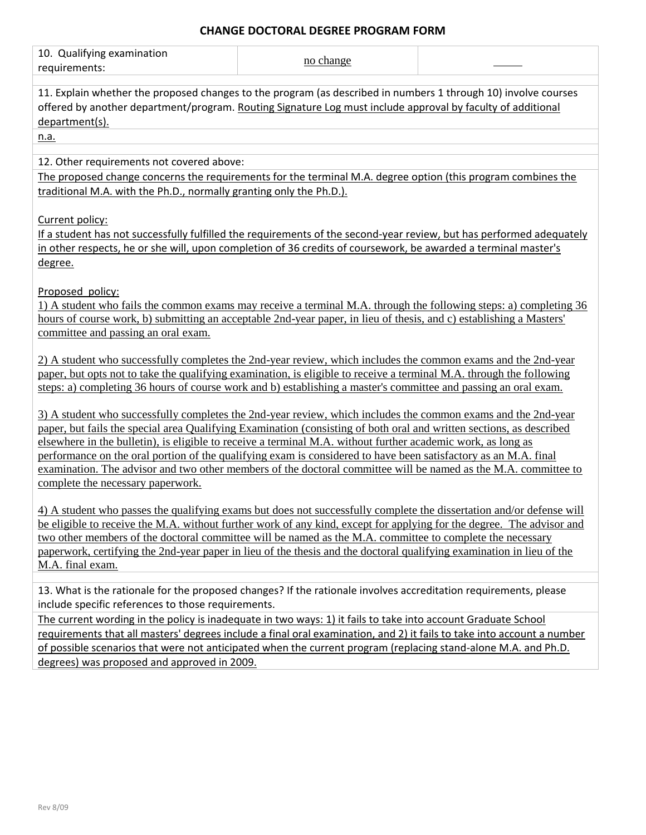### **CHANGE DOCTORAL DEGREE PROGRAM FORM**

| 10. Qualifying examination                                                                                                                                                                                                                                                                                                                                                                                                                                                                                                                                                                                                       | no change |  |  |  |  |
|----------------------------------------------------------------------------------------------------------------------------------------------------------------------------------------------------------------------------------------------------------------------------------------------------------------------------------------------------------------------------------------------------------------------------------------------------------------------------------------------------------------------------------------------------------------------------------------------------------------------------------|-----------|--|--|--|--|
| requirements:                                                                                                                                                                                                                                                                                                                                                                                                                                                                                                                                                                                                                    |           |  |  |  |  |
| 11. Explain whether the proposed changes to the program (as described in numbers 1 through 10) involve courses<br>offered by another department/program. Routing Signature Log must include approval by faculty of additional<br>department(s).                                                                                                                                                                                                                                                                                                                                                                                  |           |  |  |  |  |
| n.a.                                                                                                                                                                                                                                                                                                                                                                                                                                                                                                                                                                                                                             |           |  |  |  |  |
| 12. Other requirements not covered above:<br>The proposed change concerns the requirements for the terminal M.A. degree option (this program combines the<br>traditional M.A. with the Ph.D., normally granting only the Ph.D.).                                                                                                                                                                                                                                                                                                                                                                                                 |           |  |  |  |  |
| Current policy:<br>If a student has not successfully fulfilled the requirements of the second-year review, but has performed adequately<br>in other respects, he or she will, upon completion of 36 credits of coursework, be awarded a terminal master's<br>degree.                                                                                                                                                                                                                                                                                                                                                             |           |  |  |  |  |
| Proposed policy:<br>1) A student who fails the common exams may receive a terminal M.A. through the following steps: a) completing 36<br>hours of course work, b) submitting an acceptable 2nd-year paper, in lieu of thesis, and c) establishing a Masters'<br>committee and passing an oral exam.                                                                                                                                                                                                                                                                                                                              |           |  |  |  |  |
| 2) A student who successfully completes the 2nd-year review, which includes the common exams and the 2nd-year<br>paper, but opts not to take the qualifying examination, is eligible to receive a terminal M.A. through the following<br>steps: a) completing 36 hours of course work and b) establishing a master's committee and passing an oral exam.                                                                                                                                                                                                                                                                         |           |  |  |  |  |
| 3) A student who successfully completes the 2nd-year review, which includes the common exams and the 2nd-year<br>paper, but fails the special area Qualifying Examination (consisting of both oral and written sections, as described<br>elsewhere in the bulletin), is eligible to receive a terminal M.A. without further academic work, as long as<br>performance on the oral portion of the qualifying exam is considered to have been satisfactory as an M.A. final<br>examination. The advisor and two other members of the doctoral committee will be named as the M.A. committee to<br>complete the necessary paperwork. |           |  |  |  |  |
| 4) A student who passes the qualifying exams but does not successfully complete the dissertation and/or defense will<br>be eligible to receive the M.A. without further work of any kind, except for applying for the degree. The advisor and<br>two other members of the doctoral committee will be named as the M.A. committee to complete the necessary<br>paperwork, certifying the 2nd-year paper in lieu of the thesis and the doctoral qualifying examination in lieu of the<br>M.A. final exam.                                                                                                                          |           |  |  |  |  |
| 13. What is the rationale for the proposed changes? If the rationale involves accreditation requirements, please<br>include specific references to those requirements.                                                                                                                                                                                                                                                                                                                                                                                                                                                           |           |  |  |  |  |
| The current wording in the policy is inadequate in two ways: 1) it fails to take into account Graduate School<br>requirements that all masters' degrees include a final oral examination, and 2) it fails to take into account a number<br>of possible scenarios that were not anticipated when the current program (replacing stand-alone M.A. and Ph.D.<br>degrees) was proposed and approved in 2009.                                                                                                                                                                                                                         |           |  |  |  |  |
|                                                                                                                                                                                                                                                                                                                                                                                                                                                                                                                                                                                                                                  |           |  |  |  |  |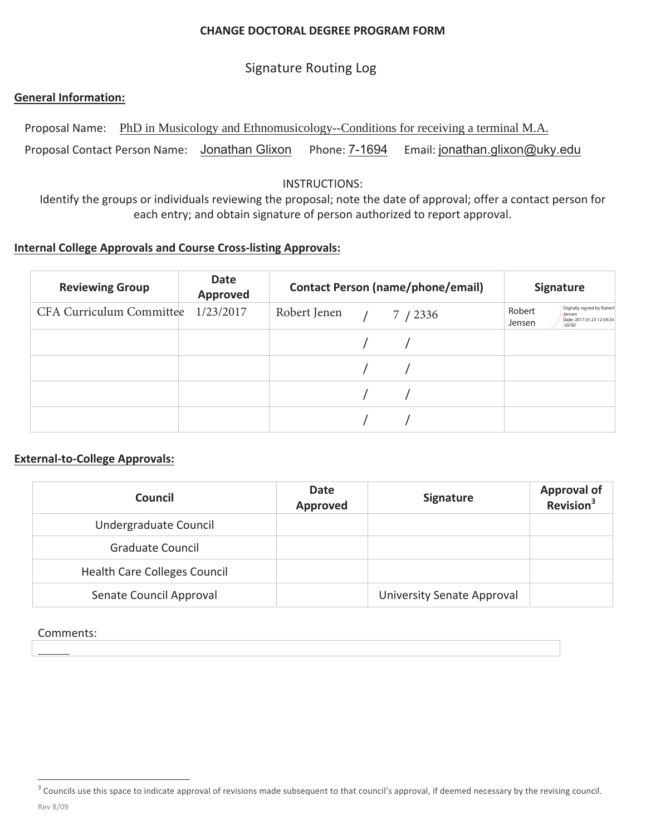#### **CHANGE DOCTORAL DEGREE PROGRAM FORM**

# **Signature Routing Log**

### **General Information:**

Proposal Name: PhD in Musicology and Ethnomusicology--Conditions for receiving a terminal M.A. Proposal Contact Person Name: Jonathan Glixon Phone: 7-1694 Email: jonathan.glixon@uky.edu

#### **INSTRUCTIONS:**

Identify the groups or individuals reviewing the proposal; note the date of approval; offer a contact person for each entry; and obtain signature of person authorized to report approval.

### **Internal College Approvals and Course Cross-listing Approvals:**

| <b>Reviewing Group</b>   | <b>Date</b><br><b>Approved</b> | <b>Contact Person (name/phone/email)</b> | <b>Signature</b>                                                                                   |
|--------------------------|--------------------------------|------------------------------------------|----------------------------------------------------------------------------------------------------|
| CFA Curriculum Committee | 1/23/2017                      | Robert Jenen $/ 7 / 2336$                | Digitally signed by Robert<br>Robert<br>Jensen<br>Date: 2017.01.23 12:59:24<br>Jensen<br>$-05'00'$ |
|                          |                                |                                          |                                                                                                    |
|                          |                                |                                          |                                                                                                    |
|                          |                                |                                          |                                                                                                    |
|                          |                                |                                          |                                                                                                    |

### **External-to-College Approvals:**

| Council                             | Date<br><b>Approved</b> | <b>Signature</b>                  | Approval of<br>Revision <sup>3</sup> |
|-------------------------------------|-------------------------|-----------------------------------|--------------------------------------|
| Undergraduate Council               |                         |                                   |                                      |
| Graduate Council                    |                         |                                   |                                      |
| <b>Health Care Colleges Council</b> |                         |                                   |                                      |
| Senate Council Approval             |                         | <b>University Senate Approval</b> |                                      |

#### Comments:

<sup>&</sup>lt;sup>3</sup> Councils use this space to indicate approval of revisions made subsequent to that council's approval, if deemed necessary by the revising council. Rev 8/09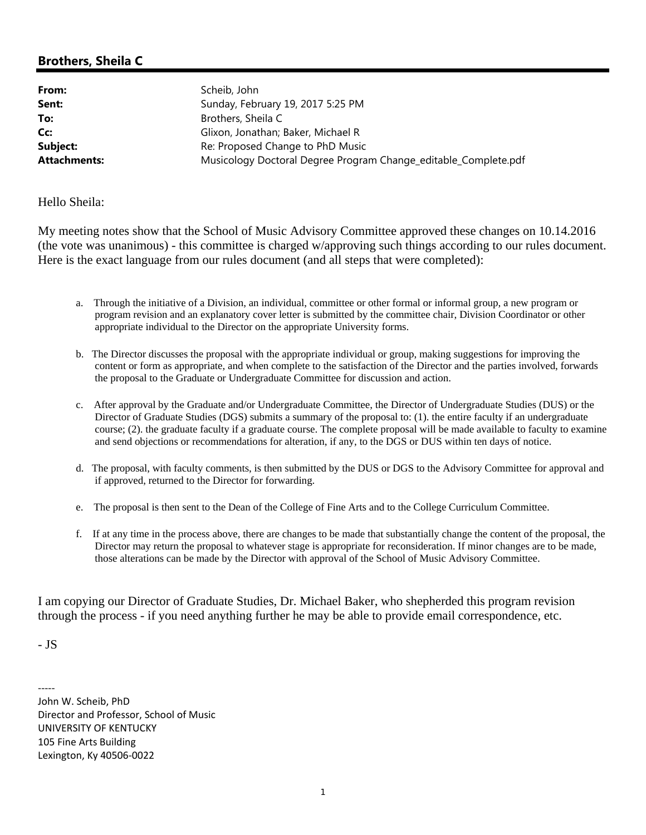## **Brothers, Sheila C**

From: Scheib, John

Sent: Sunday, February 19, 2017 5:25 PM **To:** Brothers, Sheila C **Cc:** Glixon, Jonathan; Baker, Michael R **Subject:** Re: Proposed Change to PhD Music **Attachments:** Musicology Doctoral Degree Program Change\_editable\_Complete.pdf

Hello Sheila:

My meeting notes show that the School of Music Advisory Committee approved these changes on 10.14.2016 (the vote was unanimous) - this committee is charged w/approving such things according to our rules document. Here is the exact language from our rules document (and all steps that were completed):

- a. Through the initiative of a Division, an individual, committee or other formal or informal group, a new program or program revision and an explanatory cover letter is submitted by the committee chair, Division Coordinator or other appropriate individual to the Director on the appropriate University forms.
- b. The Director discusses the proposal with the appropriate individual or group, making suggestions for improving the content or form as appropriate, and when complete to the satisfaction of the Director and the parties involved, forwards the proposal to the Graduate or Undergraduate Committee for discussion and action.
- c. After approval by the Graduate and/or Undergraduate Committee, the Director of Undergraduate Studies (DUS) or the Director of Graduate Studies (DGS) submits a summary of the proposal to: (1). the entire faculty if an undergraduate course; (2). the graduate faculty if a graduate course. The complete proposal will be made available to faculty to examine and send objections or recommendations for alteration, if any, to the DGS or DUS within ten days of notice.
- d. The proposal, with faculty comments, is then submitted by the DUS or DGS to the Advisory Committee for approval and if approved, returned to the Director for forwarding.
- e. The proposal is then sent to the Dean of the College of Fine Arts and to the College Curriculum Committee.
- f. If at any time in the process above, there are changes to be made that substantially change the content of the proposal, the Director may return the proposal to whatever stage is appropriate for reconsideration. If minor changes are to be made, those alterations can be made by the Director with approval of the School of Music Advisory Committee.

I am copying our Director of Graduate Studies, Dr. Michael Baker, who shepherded this program revision through the process - if you need anything further he may be able to provide email correspondence, etc.

- JS

‐‐‐‐‐ John W. Scheib, PhD Director and Professor, School of Music UNIVERSITY OF KENTUCKY 105 Fine Arts Building Lexington, Ky 40506‐0022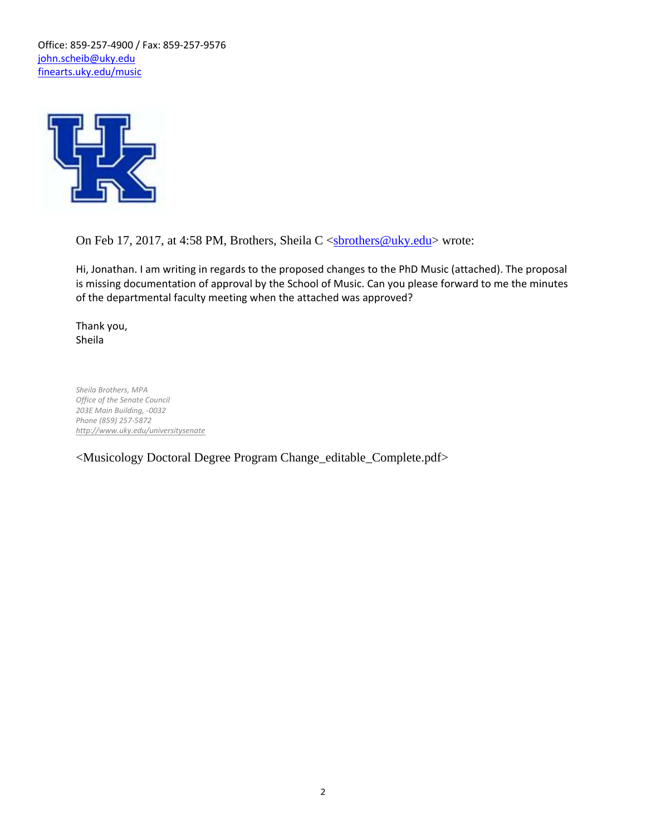Office: 859‐257‐4900 / Fax: 859‐257‐9576 john.scheib@uky.edu finearts.uky.edu/music



On Feb 17, 2017, at 4:58 PM, Brothers, Sheila C <sbrothers@uky.edu> wrote:

Hi, Jonathan. I am writing in regards to the proposed changes to the PhD Music (attached). The proposal is missing documentation of approval by the School of Music. Can you please forward to me the minutes of the departmental faculty meeting when the attached was approved?

Thank you, Sheila

*Sheila Brothers, MPA Office of the Senate Council 203E Main Building, ‐0032 Phone (859) 257‐5872 http://www.uky.edu/universitysenate*

<Musicology Doctoral Degree Program Change\_editable\_Complete.pdf>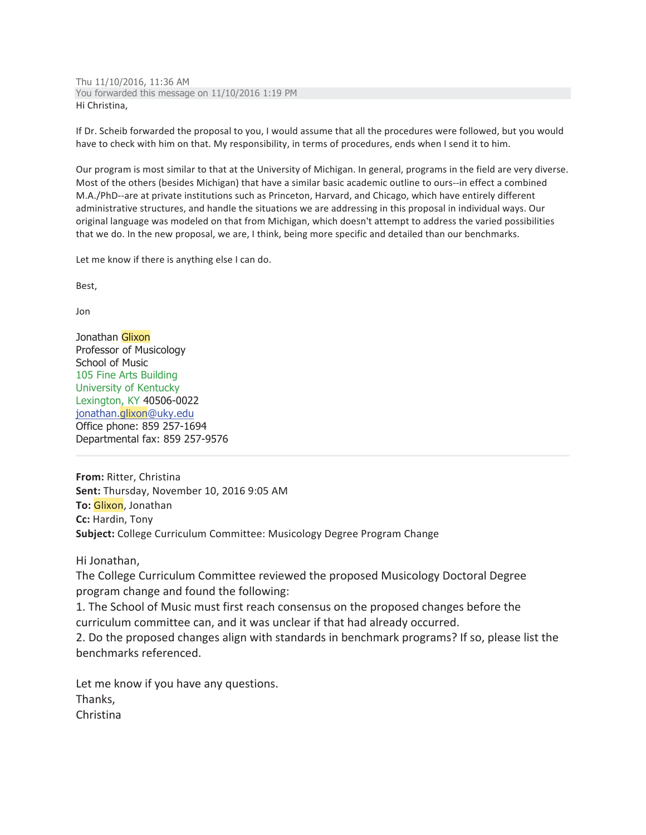Thu 11/10/2016, 11:36 AM You forwarded this message on 11/10/2016 1:19 PM Hi Christina,

If Dr. Scheib forwarded the proposal to you, I would assume that all the procedures were followed, but you would have to check with him on that. My responsibility, in terms of procedures, ends when I send it to him.

Our program is most similar to that at the University of Michigan. In general, programs in the field are very diverse. Most of the others (besides Michigan) that have a similar basic academic outline to ours--in effect a combined M.A./PhD--are at private institutions such as Princeton, Harvard, and Chicago, which have entirely different administrative structures, and handle the situations we are addressing in this proposal in individual ways. Our original language was modeled on that from Michigan, which doesn't attempt to address the varied possibilities that we do. In the new proposal, we are, I think, being more specific and detailed than our benchmarks.

Let me know if there is anything else I can do.

Best,

Jon

Jonathan Glixon Professor of Musicology School of Music 105 Fine Arts Building University of Kentucky Lexington, KY 40506-0022 jonathan.glixon@uky.edu Office phone: 859 257-1694 Departmental fax: 859 257-9576

From: Ritter, Christina Sent: Thursday, November 10, 2016 9:05 AM To: Glixon, Jonathan Cc: Hardin, Tony Subject: College Curriculum Committee: Musicology Degree Program Change

Hi Jonathan,

The College Curriculum Committee reviewed the proposed Musicology Doctoral Degree program change and found the following:

1. The School of Music must first reach consensus on the proposed changes before the curriculum committee can, and it was unclear if that had already occurred.

2. Do the proposed changes align with standards in benchmark programs? If so, please list the benchmarks referenced.

Let me know if you have any questions. Thanks, Christina